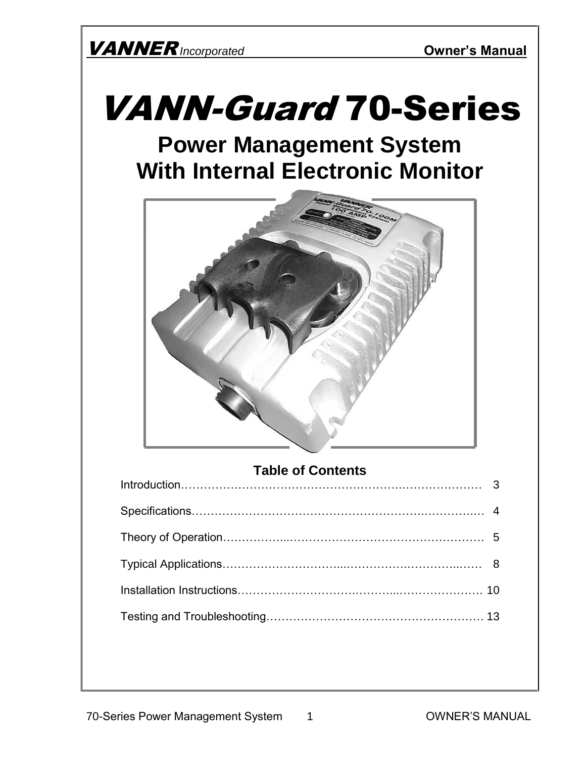

# VANN-Guard 70-Series

# **Power Management System With Internal Electronic Monitor**



### **Table of Contents**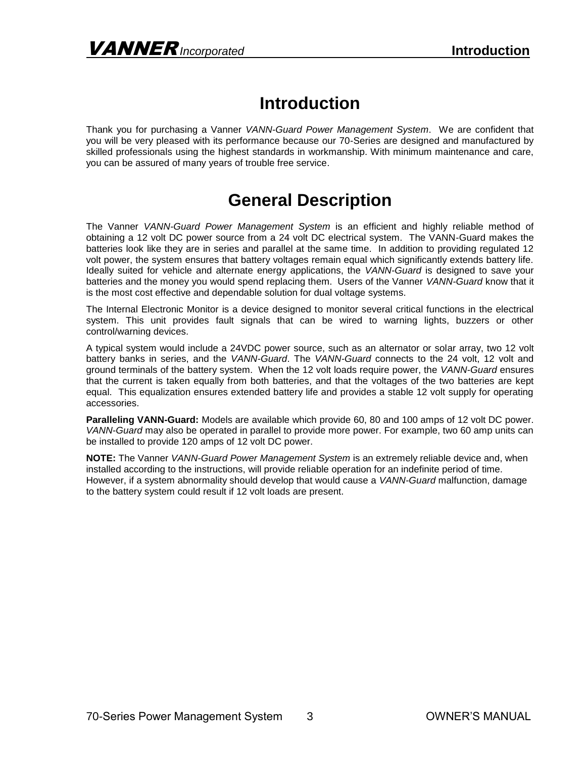# **Introduction**

Thank you for purchasing a Vanner *VANN-Guard Power Management System*. We are confident that you will be very pleased with its performance because our 70-Series are designed and manufactured by skilled professionals using the highest standards in workmanship. With minimum maintenance and care, you can be assured of many years of trouble free service.

# **General Description**

The Vanner *VANN-Guard Power Management System* is an efficient and highly reliable method of obtaining a 12 volt DC power source from a 24 volt DC electrical system. The VANN-Guard makes the batteries look like they are in series and parallel at the same time. In addition to providing regulated 12 volt power, the system ensures that battery voltages remain equal which significantly extends battery life. Ideally suited for vehicle and alternate energy applications, the *VANN-Guard* is designed to save your batteries and the money you would spend replacing them. Users of the Vanner *VANN-Guard* know that it is the most cost effective and dependable solution for dual voltage systems.

The Internal Electronic Monitor is a device designed to monitor several critical functions in the electrical system. This unit provides fault signals that can be wired to warning lights, buzzers or other control/warning devices.

A typical system would include a 24VDC power source, such as an alternator or solar array, two 12 volt battery banks in series, and the *VANN-Guard*. The *VANN-Guard* connects to the 24 volt, 12 volt and ground terminals of the battery system. When the 12 volt loads require power, the *VANN-Guard* ensures that the current is taken equally from both batteries, and that the voltages of the two batteries are kept equal. This equalization ensures extended battery life and provides a stable 12 volt supply for operating accessories.

**Paralleling VANN-Guard:** Models are available which provide 60, 80 and 100 amps of 12 volt DC power. *VANN-Guard* may also be operated in parallel to provide more power. For example, two 60 amp units can be installed to provide 120 amps of 12 volt DC power.

**NOTE:** The Vanner *VANN-Guard Power Management System* is an extremely reliable device and, when installed according to the instructions, will provide reliable operation for an indefinite period of time. However, if a system abnormality should develop that would cause a *VANN-Guard* malfunction, damage to the battery system could result if 12 volt loads are present.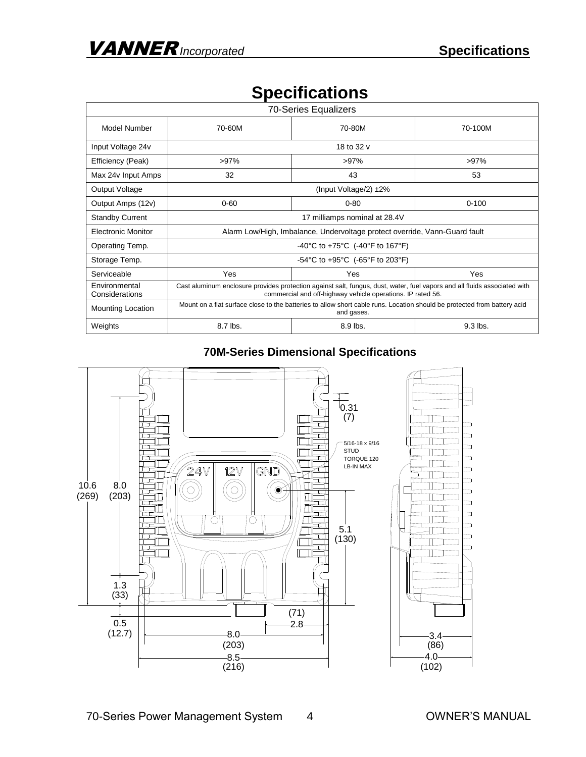|  |  | <b>Specifications</b> |
|--|--|-----------------------|
|  |  |                       |

| <b>70-Series Equalizers</b>     |                                                                                                                                                                                          |          |            |  |
|---------------------------------|------------------------------------------------------------------------------------------------------------------------------------------------------------------------------------------|----------|------------|--|
| Model Number                    | 70-60M                                                                                                                                                                                   | 70-80M   | 70-100M    |  |
| Input Voltage 24v               | 18 to 32 v                                                                                                                                                                               |          |            |  |
| Efficiency (Peak)               | $>97\%$                                                                                                                                                                                  | $>97\%$  | $>97\%$    |  |
| Max 24v Input Amps              | 32                                                                                                                                                                                       | 43       | 53         |  |
| Output Voltage                  | (Input Voltage/2) $\pm 2\%$                                                                                                                                                              |          |            |  |
| Output Amps (12v)               | $0 - 60$                                                                                                                                                                                 | $0 - 80$ | $0 - 100$  |  |
| <b>Standby Current</b>          | 17 milliamps nominal at 28.4V                                                                                                                                                            |          |            |  |
| <b>Electronic Monitor</b>       | Alarm Low/High, Imbalance, Undervoltage protect override, Vann-Guard fault                                                                                                               |          |            |  |
| Operating Temp.                 | -40°C to +75°C (-40°F to 167°F)                                                                                                                                                          |          |            |  |
| Storage Temp.                   | -54°C to +95°C (-65°F to 203°F)                                                                                                                                                          |          |            |  |
| Serviceable                     | Yes                                                                                                                                                                                      | Yes      | Yes        |  |
| Environmental<br>Considerations | Cast aluminum enclosure provides protection against salt, fungus, dust, water, fuel vapors and all fluids associated with<br>commercial and off-highway vehicle operations. IP rated 56. |          |            |  |
| <b>Mounting Location</b>        | Mount on a flat surface close to the batteries to allow short cable runs. Location should be protected from battery acid<br>and gases.                                                   |          |            |  |
| Weights                         | 8.7 lbs.                                                                                                                                                                                 | 8.9 lbs. | $9.3$ lbs. |  |

### **70M-Series Dimensional Specifications**

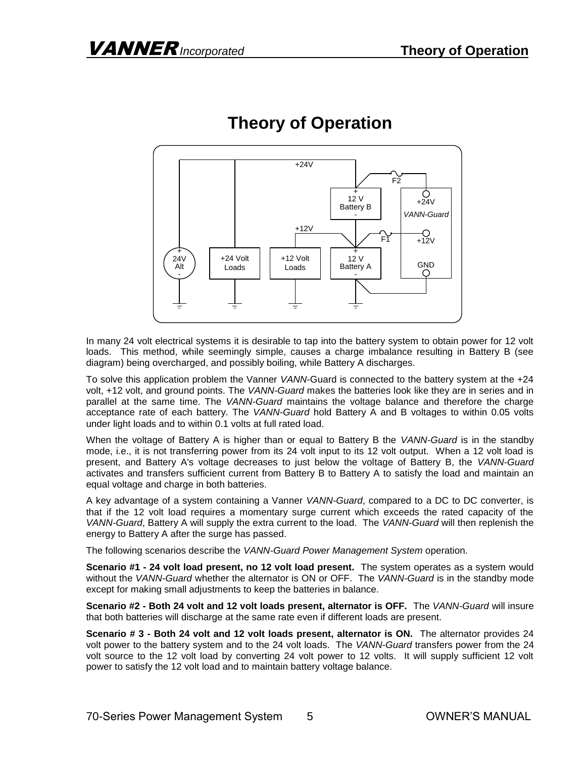

# **Theory of Operation**

In many 24 volt electrical systems it is desirable to tap into the battery system to obtain power for 12 volt loads. This method, while seemingly simple, causes a charge imbalance resulting in Battery B (see diagram) being overcharged, and possibly boiling, while Battery A discharges.

To solve this application problem the Vanner *VANN*-Guard is connected to the battery system at the +24 volt, +12 volt, and ground points. The *VANN-Guard* makes the batteries look like they are in series and in parallel at the same time. The *VANN-Guard* maintains the voltage balance and therefore the charge acceptance rate of each battery. The *VANN-Guard* hold Battery A and B voltages to within 0.05 volts under light loads and to within 0.1 volts at full rated load.

When the voltage of Battery A is higher than or equal to Battery B the *VANN-Guard* is in the standby mode, i.e., it is not transferring power from its 24 volt input to its 12 volt output. When a 12 volt load is present, and Battery A's voltage decreases to just below the voltage of Battery B, the *VANN-Guard* activates and transfers sufficient current from Battery B to Battery A to satisfy the load and maintain an equal voltage and charge in both batteries.

A key advantage of a system containing a Vanner *VANN-Guard*, compared to a DC to DC converter, is that if the 12 volt load requires a momentary surge current which exceeds the rated capacity of the *VANN-Guard*, Battery A will supply the extra current to the load. The *VANN-Guard* will then replenish the energy to Battery A after the surge has passed.

The following scenarios describe the *VANN-Guard Power Management System* operation.

**Scenario #1 - 24 volt load present, no 12 volt load present.** The system operates as a system would without the *VANN-Guard* whether the alternator is ON or OFF. The *VANN-Guard* is in the standby mode except for making small adjustments to keep the batteries in balance.

**Scenario #2 - Both 24 volt and 12 volt loads present, alternator is OFF.** The *VANN-Guard* will insure that both batteries will discharge at the same rate even if different loads are present.

**Scenario # 3 - Both 24 volt and 12 volt loads present, alternator is ON.** The alternator provides 24 volt power to the battery system and to the 24 volt loads. The *VANN-Guard* transfers power from the 24 volt source to the 12 volt load by converting 24 volt power to 12 volts. It will supply sufficient 12 volt power to satisfy the 12 volt load and to maintain battery voltage balance.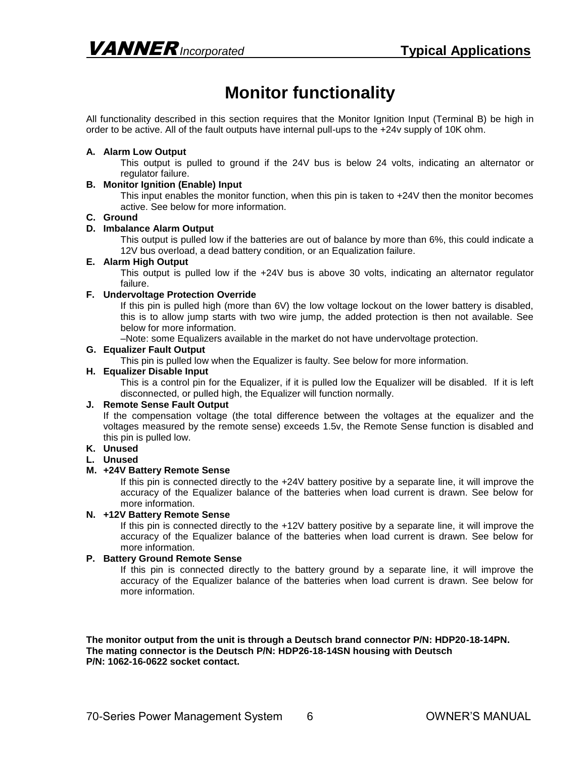# **Monitor functionality**

All functionality described in this section requires that the Monitor Ignition Input (Terminal B) be high in order to be active. All of the fault outputs have internal pull-ups to the +24v supply of 10K ohm.

#### **A. Alarm Low Output**

This output is pulled to ground if the 24V bus is below 24 volts, indicating an alternator or regulator failure.

#### **B. Monitor Ignition (Enable) Input**

This input enables the monitor function, when this pin is taken to +24V then the monitor becomes active. See below for more information.

#### **C. Ground**

#### **D. Imbalance Alarm Output**

This output is pulled low if the batteries are out of balance by more than 6%, this could indicate a 12V bus overload, a dead battery condition, or an Equalization failure.

#### **E. Alarm High Output**

This output is pulled low if the +24V bus is above 30 volts, indicating an alternator regulator failure.

#### **F. Undervoltage Protection Override**

If this pin is pulled high (more than 6V) the low voltage lockout on the lower battery is disabled, this is to allow jump starts with two wire jump, the added protection is then not available. See below for more information.

–Note: some Equalizers available in the market do not have undervoltage protection.

#### **G. Equalizer Fault Output**

This pin is pulled low when the Equalizer is faulty. See below for more information.

#### **H. Equalizer Disable Input**

This is a control pin for the Equalizer, if it is pulled low the Equalizer will be disabled. If it is left disconnected, or pulled high, the Equalizer will function normally.

#### **J. Remote Sense Fault Output**

If the compensation voltage (the total difference between the voltages at the equalizer and the voltages measured by the remote sense) exceeds 1.5v, the Remote Sense function is disabled and this pin is pulled low.

### **K. Unused**

#### **L. Unused**

#### **M. +24V Battery Remote Sense**

If this pin is connected directly to the +24V battery positive by a separate line, it will improve the accuracy of the Equalizer balance of the batteries when load current is drawn. See below for more information.

#### **N. +12V Battery Remote Sense**

If this pin is connected directly to the +12V battery positive by a separate line, it will improve the accuracy of the Equalizer balance of the batteries when load current is drawn. See below for more information.

#### **P. Battery Ground Remote Sense**

If this pin is connected directly to the battery ground by a separate line, it will improve the accuracy of the Equalizer balance of the batteries when load current is drawn. See below for more information.

**The monitor output from the unit is through a Deutsch brand connector P/N: HDP20-18-14PN. The mating connector is the Deutsch P/N: HDP26-18-14SN housing with Deutsch P/N: 1062-16-0622 socket contact.**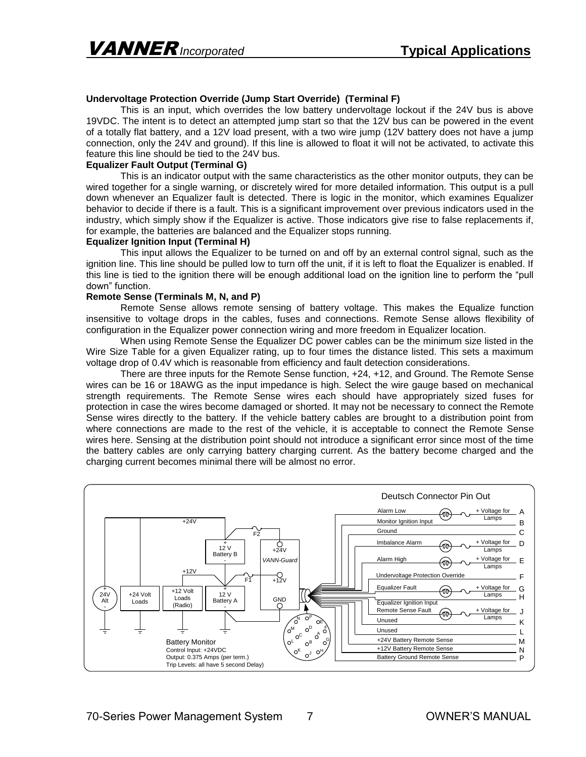#### **Undervoltage Protection Override (Jump Start Override) (Terminal F)**

This is an input, which overrides the low battery undervoltage lockout if the 24V bus is above 19VDC. The intent is to detect an attempted jump start so that the 12V bus can be powered in the event of a totally flat battery, and a 12V load present, with a two wire jump (12V battery does not have a jump connection, only the 24V and ground). If this line is allowed to float it will not be activated, to activate this feature this line should be tied to the 24V bus.

#### **Equalizer Fault Output (Terminal G)**

This is an indicator output with the same characteristics as the other monitor outputs, they can be wired together for a single warning, or discretely wired for more detailed information. This output is a pull down whenever an Equalizer fault is detected. There is logic in the monitor, which examines Equalizer behavior to decide if there is a fault. This is a significant improvement over previous indicators used in the industry, which simply show if the Equalizer is active. Those indicators give rise to false replacements if, for example, the batteries are balanced and the Equalizer stops running.

#### **Equalizer Ignition Input (Terminal H)**

This input allows the Equalizer to be turned on and off by an external control signal, such as the ignition line. This line should be pulled low to turn off the unit, if it is left to float the Equalizer is enabled. If this line is tied to the ignition there will be enough additional load on the ignition line to perform the "pull down" function.

#### **Remote Sense (Terminals M, N, and P)**

Remote Sense allows remote sensing of battery voltage. This makes the Equalize function insensitive to voltage drops in the cables, fuses and connections. Remote Sense allows flexibility of configuration in the Equalizer power connection wiring and more freedom in Equalizer location.

When using Remote Sense the Equalizer DC power cables can be the minimum size listed in the Wire Size Table for a given Equalizer rating, up to four times the distance listed. This sets a maximum voltage drop of 0.4V which is reasonable from efficiency and fault detection considerations.

There are three inputs for the Remote Sense function, +24, +12, and Ground. The Remote Sense wires can be 16 or 18AWG as the input impedance is high. Select the wire gauge based on mechanical strength requirements. The Remote Sense wires each should have appropriately sized fuses for protection in case the wires become damaged or shorted. It may not be necessary to connect the Remote Sense wires directly to the battery. If the vehicle battery cables are brought to a distribution point from where connections are made to the rest of the vehicle, it is acceptable to connect the Remote Sense wires here. Sensing at the distribution point should not introduce a significant error since most of the time the battery cables are only carrying battery charging current. As the battery become charged and the charging current becomes minimal there will be almost no error.

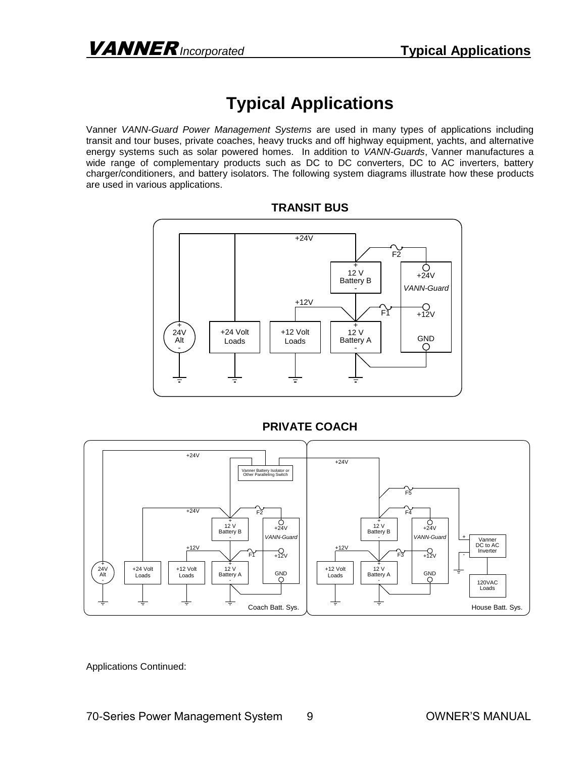# **Typical Applications**

Vanner *VANN-Guard Power Management Systems* are used in many types of applications including transit and tour buses, private coaches, heavy trucks and off highway equipment, yachts, and alternative energy systems such as solar powered homes. In addition to *VANN-Guards*, Vanner manufactures a wide range of complementary products such as DC to DC converters, DC to AC inverters, battery charger/conditioners, and battery isolators. The following system diagrams illustrate how these products are used in various applications.



### **TRANSIT BUS**



### **PRIVATE COACH**

Applications Continued: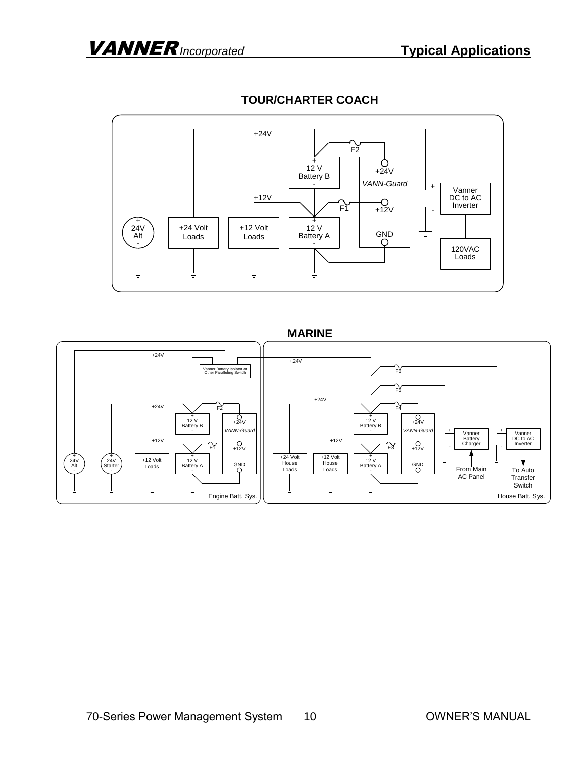

### **TOUR/CHARTER COACH**

### **MARINE**

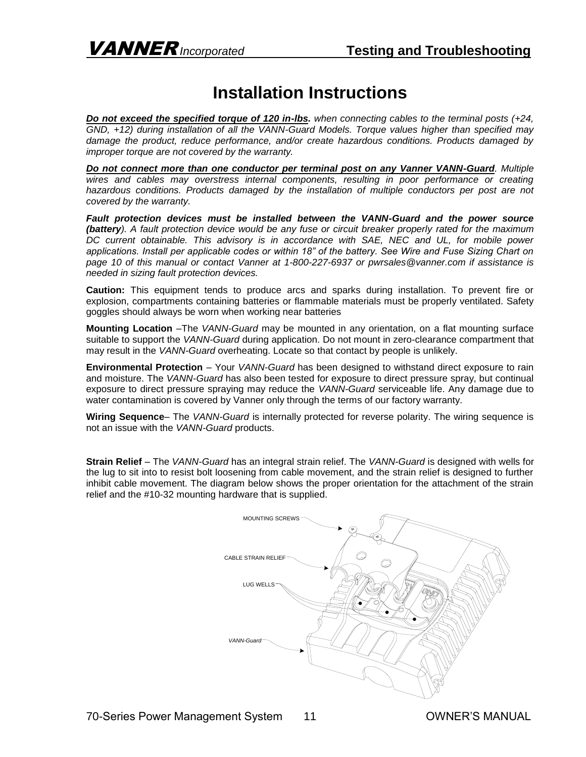# **Installation Instructions**

*Do not exceed the specified torque of 120 in-lbs. when connecting cables to the terminal posts (+24, GND, +12) during installation of all the VANN-Guard Models. Torque values higher than specified may damage the product, reduce performance, and/or create hazardous conditions. Products damaged by improper torque are not covered by the warranty.*

*Do not connect more than one conductor per terminal post on any Vanner VANN-Guard. Multiple wires and cables may overstress internal components, resulting in poor performance or creating hazardous conditions. Products damaged by the installation of multiple conductors per post are not covered by the warranty.*

*Fault protection devices must be installed between the VANN-Guard and the power source (battery). A fault protection device would be any fuse or circuit breaker properly rated for the maximum DC current obtainable. This advisory is in accordance with SAE, NEC and UL, for mobile power applications. Install per applicable codes or within 18" of the battery. See Wire and Fuse Sizing Chart on page 10 of this manual or contact Vanner at 1-800-227-6937 or pwrsales@vanner.com if assistance is needed in sizing fault protection devices.*

**Caution:** This equipment tends to produce arcs and sparks during installation. To prevent fire or explosion, compartments containing batteries or flammable materials must be properly ventilated. Safety goggles should always be worn when working near batteries

**Mounting Location** –The *VANN-Guard* may be mounted in any orientation, on a flat mounting surface suitable to support the *VANN-Guard* during application. Do not mount in zero-clearance compartment that may result in the *VANN-Guard* overheating. Locate so that contact by people is unlikely.

**Environmental Protection** – Your *VANN-Guard* has been designed to withstand direct exposure to rain and moisture. The *VANN-Guard* has also been tested for exposure to direct pressure spray, but continual exposure to direct pressure spraying may reduce the *VANN-Guard* serviceable life. Any damage due to water contamination is covered by Vanner only through the terms of our factory warranty.

**Wiring Sequence**– The *VANN-Guard* is internally protected for reverse polarity. The wiring sequence is not an issue with the *VANN-Guard* products.

**Strain Relief** – The *VANN-Guard* has an integral strain relief. The *VANN-Guard* is designed with wells for the lug to sit into to resist bolt loosening from cable movement, and the strain relief is designed to further inhibit cable movement. The diagram below shows the proper orientation for the attachment of the strain relief and the #10-32 mounting hardware that is supplied.

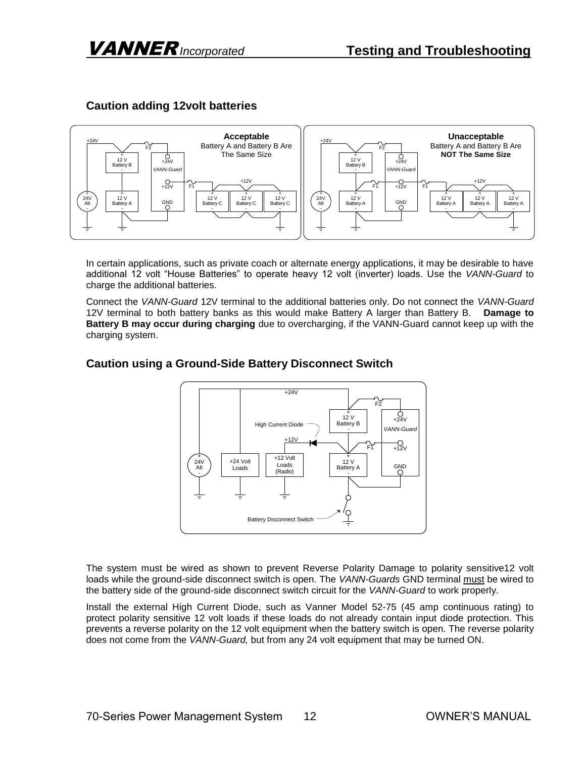

### **Caution adding 12volt batteries**

In certain applications, such as private coach or alternate energy applications, it may be desirable to have additional 12 volt "House Batteries" to operate heavy 12 volt (inverter) loads. Use the *VANN-Guard* to charge the additional batteries.

Connect the *VANN-Guard* 12V terminal to the additional batteries only. Do not connect the *VANN-Guard* 12V terminal to both battery banks as this would make Battery A larger than Battery B. **Damage to Battery B may occur during charging** due to overcharging, if the VANN-Guard cannot keep up with the charging system.



### **Caution using a Ground-Side Battery Disconnect Switch**

The system must be wired as shown to prevent Reverse Polarity Damage to polarity sensitive12 volt loads while the ground-side disconnect switch is open. The *VANN-Guards* GND terminal must be wired to the battery side of the ground-side disconnect switch circuit for the *VANN-Guard* to work properly.

Install the external High Current Diode, such as Vanner Model 52-75 (45 amp continuous rating) to protect polarity sensitive 12 volt loads if these loads do not already contain input diode protection. This prevents a reverse polarity on the 12 volt equipment when the battery switch is open. The reverse polarity does not come from the *VANN-Guard,* but from any 24 volt equipment that may be turned ON.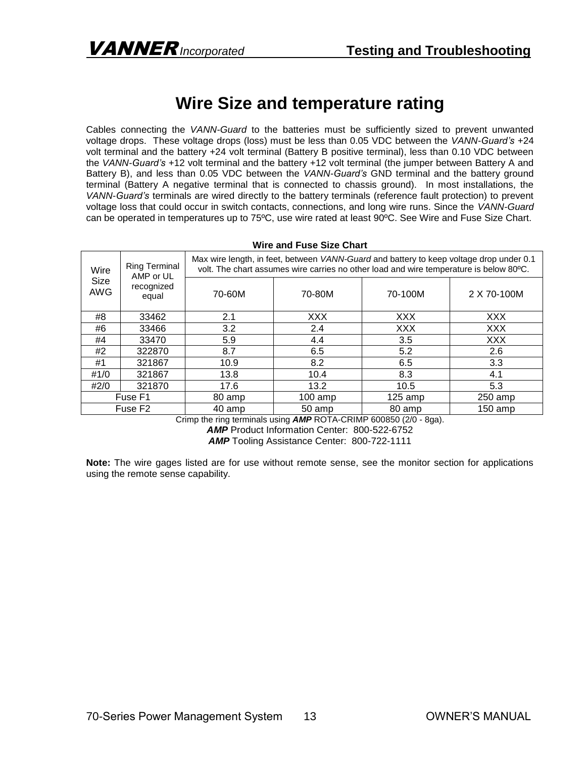# **Wire Size and temperature rating**

Cables connecting the *VANN-Guard* to the batteries must be sufficiently sized to prevent unwanted voltage drops. These voltage drops (loss) must be less than 0.05 VDC between the *VANN-Guard's* +24 volt terminal and the battery +24 volt terminal (Battery B positive terminal), less than 0.10 VDC between the *VANN-Guard's* +12 volt terminal and the battery +12 volt terminal (the jumper between Battery A and Battery B), and less than 0.05 VDC between the *VANN-Guard's* GND terminal and the battery ground terminal (Battery A negative terminal that is connected to chassis ground). In most installations, the *VANN-Guard's* terminals are wired directly to the battery terminals (reference fault protection) to prevent voltage loss that could occur in switch contacts, connections, and long wire runs. Since the *VANN-Guard* can be operated in temperatures up to 75ºC, use wire rated at least 90ºC. See Wire and Fuse Size Chart.

| <u>WILC AIN LUSC OILC ONAIL</u> |                                                          |                                                                                                                                                                                   |              |            |             |  |
|---------------------------------|----------------------------------------------------------|-----------------------------------------------------------------------------------------------------------------------------------------------------------------------------------|--------------|------------|-------------|--|
| Wire<br>Size<br><b>AWG</b>      | <b>Ring Terminal</b><br>AMP or UL<br>recognized<br>equal | Max wire length, in feet, between VANN-Guard and battery to keep voltage drop under 0.1<br>volt. The chart assumes wire carries no other load and wire temperature is below 80°C. |              |            |             |  |
|                                 |                                                          | 70-60M                                                                                                                                                                            | 70-80M       | 70-100M    | 2 X 70-100M |  |
| #8                              | 33462                                                    | 2.1                                                                                                                                                                               | <b>XXX</b>   | <b>XXX</b> | XXX         |  |
| #6                              | 33466                                                    | 3.2                                                                                                                                                                               | 2.4          | <b>XXX</b> | <b>XXX</b>  |  |
| #4                              | 33470                                                    | 5.9                                                                                                                                                                               | 4.4          | 3.5        | <b>XXX</b>  |  |
| #2                              | 322870                                                   | 8.7                                                                                                                                                                               | 6.5          | 5.2        | 2.6         |  |
| #1                              | 321867                                                   | 10.9                                                                                                                                                                              | 8.2          | 6.5        | 3.3         |  |
| #1/0                            | 321867                                                   | 13.8                                                                                                                                                                              | 10.4         | 8.3        | 4.1         |  |
| #2/0                            | 321870                                                   | 17.6                                                                                                                                                                              | 13.2<br>10.5 |            | 5.3         |  |
|                                 | Fuse F1                                                  | 80 amp                                                                                                                                                                            | $100$ amp    | $125$ amp  | $250$ amp   |  |
|                                 | Fuse F <sub>2</sub>                                      | 40 amp                                                                                                                                                                            | 50 amp       | 80 amp     | 150 amp     |  |

**Wire and Fuse Size Chart**

Crimp the ring terminals using *AMP* ROTA-CRIMP 600850 (2/0 - 8ga).

AMP Product Information Center: 800-522-6752

*AMP* Tooling Assistance Center: 800-722-1111

**Note:** The wire gages listed are for use without remote sense, see the monitor section for applications using the remote sense capability.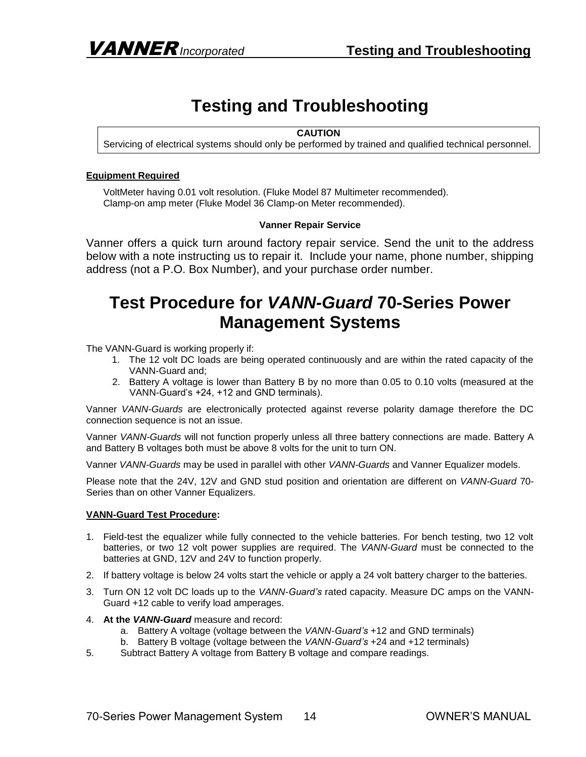# **Testing and Troubleshooting**

#### **CAUTION**

Servicing of electrical systems should only be performed by trained and qualified technical personnel.

#### **Equipment Required**

VoltMeter having 0.01 volt resolution. (Fluke Model 87 Multimeter recommended). Clamp-on amp meter (Fluke Model 36 Clamp-on Meter recommended).

#### **Vanner Repair Service**

Vanner offers a quick turn around factory repair service. Send the unit to the address below with a note instructing us to repair it. Include your name, phone number, shipping address (not a P.O. Box Number), and your purchase order number.

## **Test Procedure for** *VANN-Guard* **70-Series Power Management Systems**

The VANN-Guard is working properly if:

- 1. The 12 volt DC loads are being operated continuously and are within the rated capacity of the VANN-Guard and;
- 2. Battery A voltage is lower than Battery B by no more than 0.05 to 0.10 volts (measured at the VANN-Guard's +24, +12 and GND terminals).

Vanner *VANN-Guards* are electronically protected against reverse polarity damage therefore the DC connection sequence is not an issue.

Vanner *VANN-Guards* will not function properly unless all three battery connections are made. Battery A and Battery B voltages both must be above 8 volts for the unit to turn ON.

Vanner *VANN-Guards* may be used in parallel with other *VANN-Guards* and Vanner Equalizer models.

Please note that the 24V, 12V and GND stud position and orientation are different on *VANN-Guard* 70- Series than on other Vanner Equalizers.

#### **VANN-Guard Test Procedure:**

- 1. Field-test the equalizer while fully connected to the vehicle batteries. For bench testing, two 12 volt batteries, or two 12 volt power supplies are required. The *VANN-Guard* must be connected to the batteries at GND, 12V and 24V to function properly.
- 2. If battery voltage is below 24 volts start the vehicle or apply a 24 volt battery charger to the batteries.
- 3. Turn ON 12 volt DC loads up to the *VANN-Guard's* rated capacity. Measure DC amps on the VANN-Guard +12 cable to verify load amperages.
- 4. **At the** *VANN-Guard* measure and record:
	- a. Battery A voltage (voltage between the *VANN-Guard's* +12 and GND terminals)
	- b. Battery B voltage (voltage between the *VANN-Guard's* +24 and +12 terminals)
- 5. Subtract Battery A voltage from Battery B voltage and compare readings.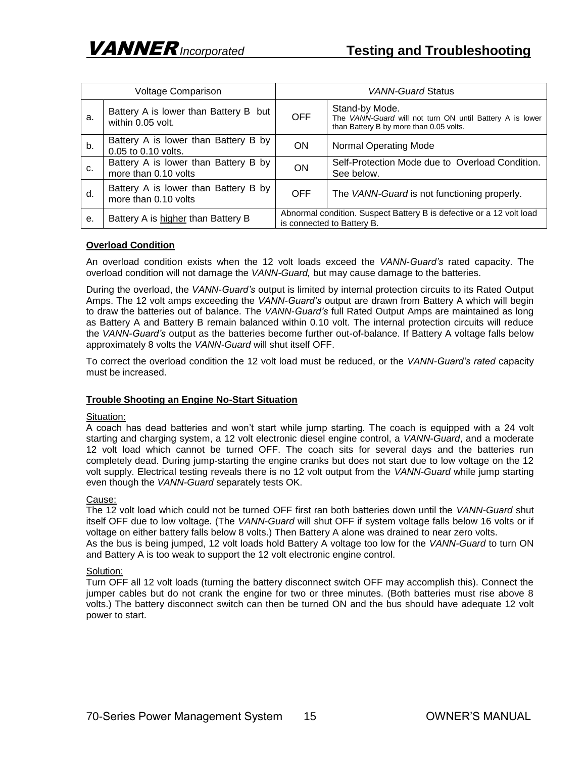| Voltage Comparison |                                                              | VANN-Guard Status                                                                                  |                                                                                                                       |  |
|--------------------|--------------------------------------------------------------|----------------------------------------------------------------------------------------------------|-----------------------------------------------------------------------------------------------------------------------|--|
| а.                 | Battery A is lower than Battery B but<br>within 0.05 volt.   | OFF.                                                                                               | Stand-by Mode.<br>The VANN-Guard will not turn ON until Battery A is lower<br>than Battery B by more than 0.05 volts. |  |
| b.                 | Battery A is lower than Battery B by<br>0.05 to 0.10 volts.  | <b>ON</b>                                                                                          | <b>Normal Operating Mode</b>                                                                                          |  |
| C.                 | Battery A is lower than Battery B by<br>more than 0.10 volts | ON                                                                                                 | Self-Protection Mode due to Overload Condition.<br>See below.                                                         |  |
| d.                 | Battery A is lower than Battery B by<br>more than 0.10 volts | <b>OFF</b>                                                                                         | The VANN-Guard is not functioning properly.                                                                           |  |
| е.                 | Battery A is higher than Battery B                           | Abnormal condition. Suspect Battery B is defective or a 12 volt load<br>is connected to Battery B. |                                                                                                                       |  |

#### **Overload Condition**

An overload condition exists when the 12 volt loads exceed the *VANN-Guard's* rated capacity. The overload condition will not damage the *VANN-Guard,* but may cause damage to the batteries.

During the overload, the *VANN-Guard's* output is limited by internal protection circuits to its Rated Output Amps. The 12 volt amps exceeding the *VANN-Guard's* output are drawn from Battery A which will begin to draw the batteries out of balance. The *VANN-Guard's* full Rated Output Amps are maintained as long as Battery A and Battery B remain balanced within 0.10 volt. The internal protection circuits will reduce the *VANN-Guard's* output as the batteries become further out-of-balance. If Battery A voltage falls below approximately 8 volts the *VANN-Guard* will shut itself OFF.

To correct the overload condition the 12 volt load must be reduced, or the *VANN-Guard's rated* capacity must be increased.

#### **Trouble Shooting an Engine No-Start Situation**

#### Situation:

A coach has dead batteries and won't start while jump starting. The coach is equipped with a 24 volt starting and charging system, a 12 volt electronic diesel engine control, a *VANN-Guard*, and a moderate 12 volt load which cannot be turned OFF. The coach sits for several days and the batteries run completely dead. During jump-starting the engine cranks but does not start due to low voltage on the 12 volt supply. Electrical testing reveals there is no 12 volt output from the *VANN-Guard* while jump starting even though the *VANN-Guard* separately tests OK.

#### Cause:

The 12 volt load which could not be turned OFF first ran both batteries down until the *VANN-Guard* shut itself OFF due to low voltage. (The *VANN-Guard* will shut OFF if system voltage falls below 16 volts or if voltage on either battery falls below 8 volts.) Then Battery A alone was drained to near zero volts. As the bus is being jumped, 12 volt loads hold Battery A voltage too low for the *VANN-Guard* to turn ON and Battery A is too weak to support the 12 volt electronic engine control.

#### Solution:

Turn OFF all 12 volt loads (turning the battery disconnect switch OFF may accomplish this). Connect the jumper cables but do not crank the engine for two or three minutes. (Both batteries must rise above 8 volts.) The battery disconnect switch can then be turned ON and the bus should have adequate 12 volt power to start.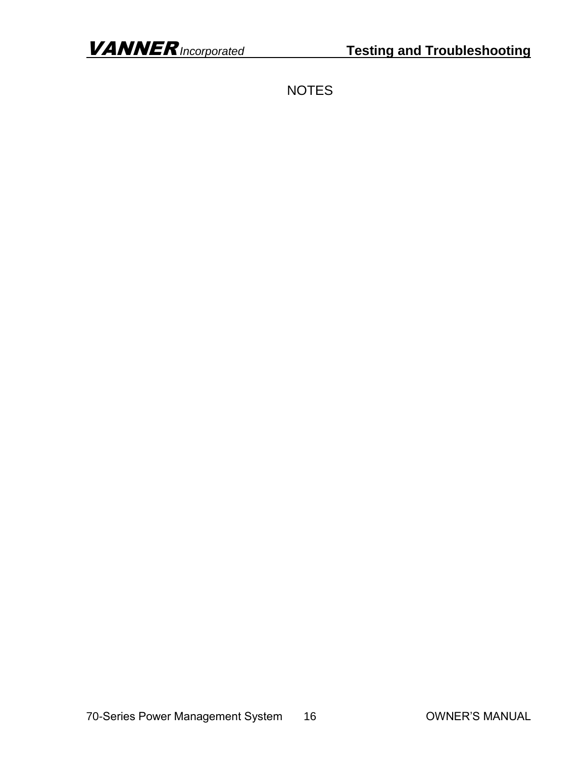**NOTES**